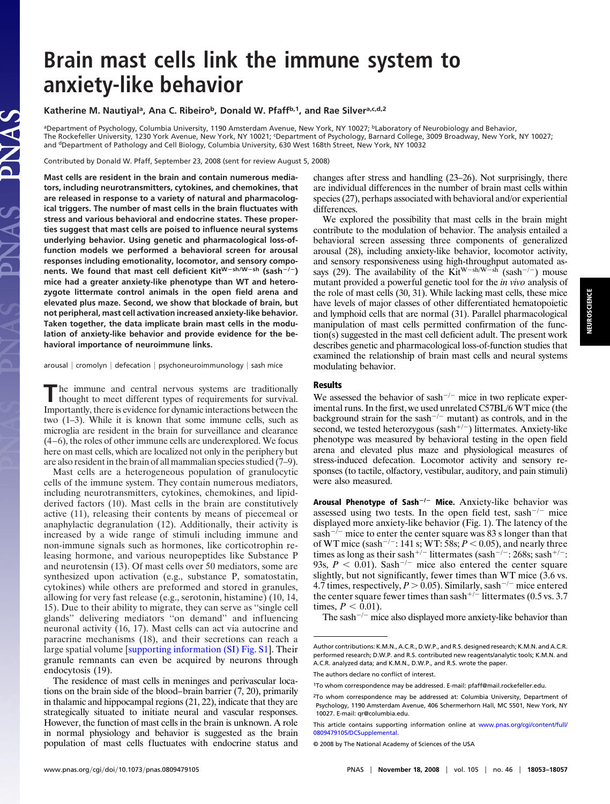## **Brain mast cells link the immune system to anxiety-like behavior**

#### Katherine M. Nautiyal<sup>a</sup>, Ana C. Ribeiro<sup>b</sup>, Donald W. Pfaff<sup>b,1</sup>, and Rae Silver<sup>a,c,d,2</sup>

aDepartment of Psychology, Columbia University, 1190 Amsterdam Avenue, New York, NY 10027; <sup>b</sup>Laboratory of Neurobiology and Behavior, The Rockefeller University, 1230 York Avenue, New York, NY 10021; <sup>c</sup>Department of Psychology, Barnard College, 3009 Broadway, New York, NY 10027; and <sup>d</sup>Department of Pathology and Cell Biology, Columbia University, 630 West 168th Street, New York, NY 10032

Contributed by Donald W. Pfaff, September 23, 2008 (sent for review August 5, 2008)

LAS

**Mast cells are resident in the brain and contain numerous mediators, including neurotransmitters, cytokines, and chemokines, that are released in response to a variety of natural and pharmacological triggers. The number of mast cells in the brain fluctuates with stress and various behavioral and endocrine states. These properties suggest that mast cells are poised to influence neural systems underlying behavior. Using genetic and pharmacological loss-offunction models we performed a behavioral screen for arousal responses including emotionality, locomotor, and sensory components. We found that mast cell deficient KitWsh/Wsh (sash/) mice had a greater anxiety-like phenotype than WT and heterozygote littermate control animals in the open field arena and elevated plus maze. Second, we show that blockade of brain, but not peripheral, mast cell activation increased anxiety-like behavior. Taken together, the data implicate brain mast cells in the modulation of anxiety-like behavior and provide evidence for the behavioral importance of neuroimmune links.**

arousal  $|$  cromolyn  $|$  defecation  $|$  psychoneuroimmunology  $|$  sash mice

The immune and central nervous systems are traditionally thought to meet different types of requirements for survival. Importantly, there is evidence for dynamic interactions between the two (1–3). While it is known that some immune cells, such as microglia are resident in the brain for surveillance and clearance (4–6), the roles of other immune cells are underexplored. We focus here on mast cells, which are localized not only in the periphery but are also resident in the brain of all mammalian species studied (7–9).

Mast cells are a heterogeneous population of granulocytic cells of the immune system. They contain numerous mediators, including neurotransmitters, cytokines, chemokines, and lipidderived factors (10). Mast cells in the brain are constitutively active (11), releasing their contents by means of piecemeal or anaphylactic degranulation (12). Additionally, their activity is increased by a wide range of stimuli including immune and non-immune signals such as hormones, like corticotrophin releasing hormone, and various neuropeptides like Substance P and neurotensin (13). Of mast cells over 50 mediators, some are synthesized upon activation (e.g., substance P, somatostatin, cytokines) while others are preformed and stored in granules, allowing for very fast release (e.g., serotonin, histamine) (10, 14, 15). Due to their ability to migrate, they can serve as ''single cell glands'' delivering mediators ''on demand'' and influencing neuronal activity (16, 17). Mast cells can act via autocrine and paracrine mechanisms (18), and their secretions can reach a large spatial volume [\[supporting information \(SI\) Fig. S1\]](http://www.pnas.org/cgi/data/0809479105/DCSupplemental/Supplemental_PDF#nameddest=SF1). Their granule remnants can even be acquired by neurons through endocytosis (19).

The residence of mast cells in meninges and perivascular locations on the brain side of the blood–brain barrier (7, 20), primarily in thalamic and hippocampal regions (21, 22), indicate that they are strategically situated to initiate neural and vascular responses. However, the function of mast cells in the brain is unknown. A role in normal physiology and behavior is suggested as the brain population of mast cells fluctuates with endocrine status and changes after stress and handling (23–26). Not surprisingly, there are individual differences in the number of brain mast cells within species (27), perhaps associated with behavioral and/or experiential differences.

We explored the possibility that mast cells in the brain might contribute to the modulation of behavior. The analysis entailed a behavioral screen assessing three components of generalized arousal (28), including anxiety-like behavior, locomotor activity, and sensory responsiveness using high-throughput automated assays (29). The availability of the Kit<sup>W-sh/W-sh</sup> (sash<sup>-/-</sup>) mouse mutant provided a powerful genetic tool for the *in vivo* analysis of the role of mast cells (30, 31). While lacking mast cells, these mice have levels of major classes of other differentiated hematopoietic and lymphoid cells that are normal (31). Parallel pharmacological manipulation of mast cells permitted confirmation of the function(s) suggested in the mast cell deficient adult. The present work describes genetic and pharmacological loss-of-function studies that examined the relationship of brain mast cells and neural systems modulating behavior.

#### **Results**

We assessed the behavior of sash<sup> $-/-$ </sup> mice in two replicate experimental runs. In the first, we used unrelated C57BL/6 WT mice (the background strain for the sash<sup> $-/-$ </sup> mutant) as controls, and in the second, we tested heterozygous (sash<sup>+/-</sup>) littermates. Anxiety-like phenotype was measured by behavioral testing in the open field arena and elevated plus maze and physiological measures of stress-induced defecation. Locomotor activity and sensory responses (to tactile, olfactory, vestibular, auditory, and pain stimuli) were also measured.

Arousal Phenotype of Sash<sup>-/-</sup> Mice. Anxiety-like behavior was assessed using two tests. In the open field test,  $sash^{-/-}$  mice displayed more anxiety-like behavior (Fig. 1). The latency of the sash<sup> $-/-$ </sup> mice to enter the center square was 83 s longer than that of WT mice (sash<sup>-/-</sup>: 141 s; WT: 58s;  $P < 0.05$ ), and nearly three times as long as their sash<sup>+/-</sup> littermates (sash<sup>-/-</sup>: 268s; sash<sup>+/-</sup>: 93s,  $P < 0.01$ ). Sash<sup>-/-</sup> mice also entered the center square slightly, but not significantly, fewer times than WT mice (3.6 vs. 4.7 times, respectively,  $P > 0.05$ ). Similarly, sash<sup>-/-</sup> mice entered the center square fewer times than sash<sup>+/-</sup> littermates (0.5 vs. 3.7) times,  $P < 0.01$ ).

The sash<sup> $-/-$ </sup> mice also displayed more anxiety-like behavior than

This article contains supporting information online at [www.pnas.org/cgi/content/full/](http://www.pnas.org/cgi/content/full/0809479105/DCSupplemental) [0809479105/DCSupplemental.](http://www.pnas.org/cgi/content/full/0809479105/DCSupplemental)

**NEUROSCIENCE**

**NEUROSCIENCE** 

Author contributions: K.M.N., A.C.R., D.W.P., and R.S. designed research; K.M.N. and A.C.R. performed research; D.W.P. and R.S. contributed new reagents/analytic tools; K.M.N. and A.C.R. analyzed data; and K.M.N., D.W.P., and R.S. wrote the paper.

The authors declare no conflict of interest.

<sup>1</sup>To whom correspondence may be addressed. E-mail: pfaff@mail.rockefeller.edu.

<sup>2</sup>To whom correspondence may be addressed at: Columbia University, Department of Psychology, 1190 Amsterdam Avenue, 406 Schermerhorn Hall, MC 5501, New York, NY 10027. E-mail: qr@columbia.edu.

<sup>© 2008</sup> by The National Academy of Sciences of the USA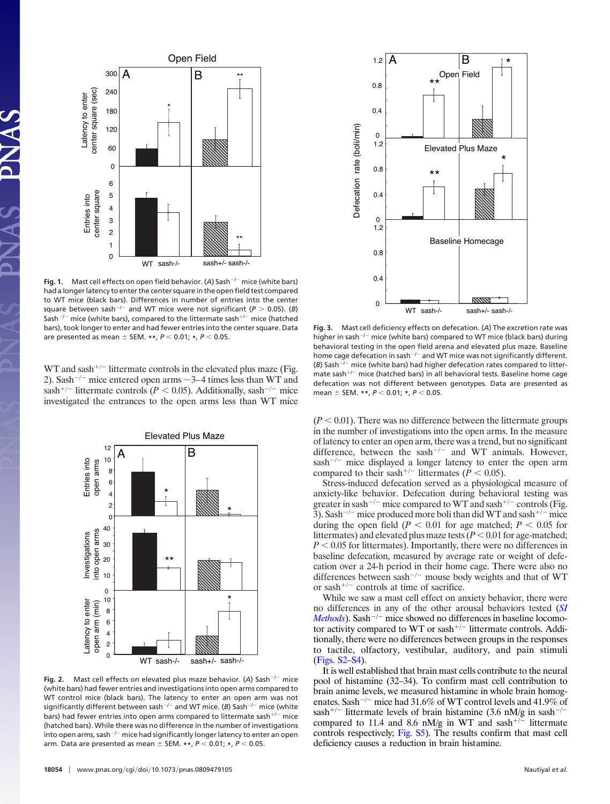

**Fig. 1.** Mast cell effects on open field behavior. (A) Sash<sup>-/-</sup> mice (white bars) had a longer latency to enter the center square in the open field test compared to WT mice (black bars). Differences in number of entries into the center square between sash<sup>-/-</sup> and WT mice were not significant ( $P > 0.05$ ). (*B*) Sash<sup>-/-</sup> mice (white bars), compared to the littermate sash<sup>+/-</sup> mice (hatched bars), took longer to enter and had fewer entries into the center square. Data are presented as mean  $\pm$  SEM. \*\*,  $P < 0.01$ ; \*,  $P < 0.05$ .

WT and sash<sup>+/-</sup> littermate controls in the elevated plus maze (Fig. 2). Sash<sup>-/-</sup> mice entered open arms  $\sim$ 3–4 times less than WT and sash<sup>+/-</sup> littermate controls ( $P < 0.05$ ). Additionally, sash<sup>-/-</sup> mice investigated the entrances to the open arms less than WT mice



Fig. 2. Mast cell effects on elevated plus maze behavior. (A) Sash<sup>-/-</sup> mice (white bars) had fewer entries and investigations into open arms compared to WT control mice (black bars). The latency to enter an open arm was not significantly different between sash<sup>-/-</sup> and WT mice. (*B*) Sash<sup>-/-</sup> mice (white bars) had fewer entries into open arms compared to littermate sash<sup>+/-</sup> mice (hatched bars). While there was no difference in the number of investigations into open arms, sash<sup> $-/-$ </sup> mice had significantly longer latency to enter an open arm. Data are presented as mean  $\pm$  SEM. \*\*,  $P < 0.01$ ; \*,  $P < 0.05$ .



**Fig. 3.** Mast cell deficiency effects on defecation. (*A*) The excretion rate was higher in sash<sup> $-/-$ </sup> mice (white bars) compared to WT mice (black bars) during behavioral testing in the open field arena and elevated plus maze. Baseline home cage defecation in sash<sup>-/-</sup> and WT mice was not significantly different. ( $B$ ) Sash<sup>-/-</sup> mice (white bars) had higher defecation rates compared to littermate sash<sup>+/-</sup> mice (hatched bars) in all behavioral tests. Baseline home cage defecation was not different between genotypes. Data are presented as mean  $\pm$  SEM. \*\*,  $P < 0.01$ ; \*,  $P < 0.05$ .

 $(P < 0.01)$ . There was no difference between the littermate groups in the number of investigations into the open arms. In the measure of latency to enter an open arm, there was a trend, but no significant difference, between the sash<sup>-/-</sup> and WT animals. However,  $sash^{-/-}$  mice displayed a longer latency to enter the open arm compared to their sash<sup>+/-</sup> littermates ( $\dot{P}$  < 0.05).

Stress-induced defecation served as a physiological measure of anxiety-like behavior. Defecation during behavioral testing was greater in sash<sup>-/-</sup> mice compared to WT and sash<sup>+/-</sup> controls (Fig. 3). Sash<sup>-/-</sup> mice produced more boli than did WT and sash<sup>+/-</sup> mice during the open field ( $P < 0.01$  for age matched;  $P < 0.05$  for littermates) and elevated plus maze tests  $(P < 0.01$  for age-matched;  $P < 0.05$  for littermates). Importantly, there were no differences in baseline defecation, measured by average rate or weight of defecation over a 24-h period in their home cage. There were also no differences between sash<sup>-/-</sup> mouse body weights and that of WT or sash<sup>+/-</sup> controls at time of sacrifice.

While we saw a mast cell effect on anxiety behavior, there were no differences in any of the other arousal behaviors tested (*[SI](http://www.pnas.org/cgi/data/0809479105/DCSupplemental/Supplemental_PDF#nameddest=STXT) [Methods](http://www.pnas.org/cgi/data/0809479105/DCSupplemental/Supplemental_PDF#nameddest=STXT)*). Sash<sup> $-/-$ </sup> mice showed no differences in baseline locomotor activity compared to WT or sash<sup>+/-</sup> littermate controls. Additionally, there were no differences between groups in the responses to tactile, olfactory, vestibular, auditory, and pain stimuli [\(Figs. S2–S4\)](http://www.pnas.org/cgi/data/0809479105/DCSupplemental/Supplemental_PDF#nameddest=SF2).

It is well established that brain mast cells contribute to the neural pool of histamine (32–34). To confirm mast cell contribution to brain anime levels, we measured histamine in whole brain homogenates. Sash<sup>-/-</sup> mice had 31.6% of WT control levels and 41.9% of sash<sup>+/-</sup> littermate levels of brain histamine (3.6 nM/g in sash<sup>-/-</sup> compared to 11.4 and 8.6 nM/g in WT and sash<sup>+/-</sup> littermate controls respectively; [Fig. S5\)](http://www.pnas.org/cgi/data/0809479105/DCSupplemental/Supplemental_PDF#nameddest=SF4). The results confirm that mast cell deficiency causes a reduction in brain histamine.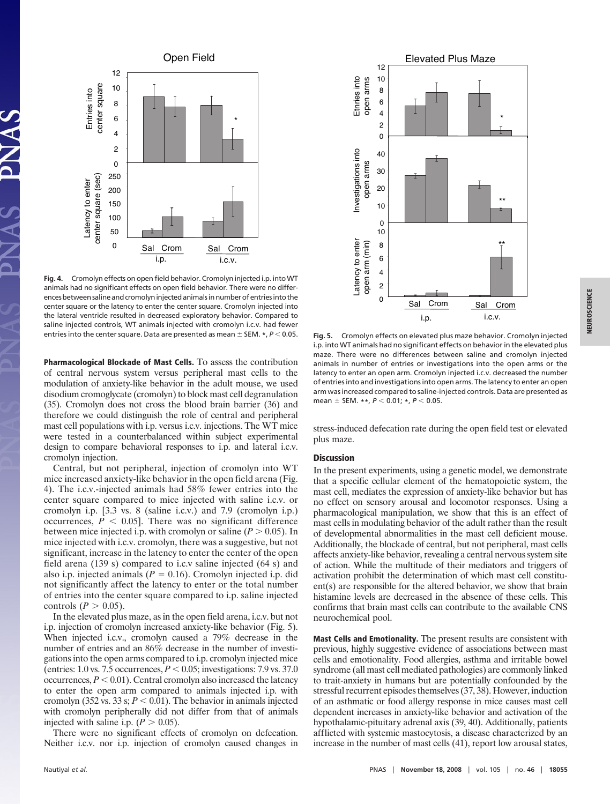

**Fig. 4.** Cromolyn effects on open field behavior. Cromolyn injected i.p. intoWT animals had no significant effects on open field behavior. There were no differences between saline and cromolyn injected animals in number of entries into the center square or the latency to enter the center square. Cromolyn injected into the lateral ventricle resulted in decreased exploratory behavior. Compared to saline injected controls, WT animals injected with cromolyn i.c.v. had fewer entries into the center square. Data are presented as mean  $\pm$  SEM.  $*$ ,  $P$  < 0.05.

**Pharmacological Blockade of Mast Cells.** To assess the contribution of central nervous system versus peripheral mast cells to the modulation of anxiety-like behavior in the adult mouse, we used disodium cromoglycate (cromolyn) to block mast cell degranulation (35). Cromolyn does not cross the blood brain barrier (36) and therefore we could distinguish the role of central and peripheral mast cell populations with i.p. versus i.c.v. injections. The WT mice were tested in a counterbalanced within subject experimental design to compare behavioral responses to i.p. and lateral i.c.v. cromolyn injection.

Central, but not peripheral, injection of cromolyn into WT mice increased anxiety-like behavior in the open field arena (Fig. 4). The i.c.v.-injected animals had 58% fewer entries into the center square compared to mice injected with saline i.c.v. or cromolyn i.p. [3.3 vs. 8 (saline i.c.v.) and 7.9 (cromolyn i.p.) occurrences,  $P < 0.05$ . There was no significant difference between mice injected i.p. with cromolyn or saline  $(P > 0.05)$ . In mice injected with i.c.v. cromolyn, there was a suggestive, but not significant, increase in the latency to enter the center of the open field arena (139 s) compared to i.c.v saline injected (64 s) and also i.p. injected animals ( $P = 0.16$ ). Cromolyn injected i.p. did not significantly affect the latency to enter or the total number of entries into the center square compared to i.p. saline injected controls  $(P > 0.05)$ .

In the elevated plus maze, as in the open field arena, i.c.v. but not i.p. injection of cromolyn increased anxiety-like behavior (Fig. 5). When injected i.c.v., cromolyn caused a 79% decrease in the number of entries and an 86% decrease in the number of investigations into the open arms compared to i.p. cromolyn injected mice (entries: 1.0 vs. 7.5 occurrences,  $P < 0.05$ ; investigations: 7.9 vs. 37.0 occurrences,  $P < 0.01$ ). Central cromolyn also increased the latency to enter the open arm compared to animals injected i.p. with cromolyn (352 vs. 33 s;  $P < 0.01$ ). The behavior in animals injected with cromolyn peripherally did not differ from that of animals injected with saline i.p.  $(P > 0.05)$ .

There were no significant effects of cromolyn on defecation. Neither i.c.v. nor i.p. injection of cromolyn caused changes in



**Fig. 5.** Cromolyn effects on elevated plus maze behavior. Cromolyn injected i.p. into WT animals had no significant effects on behavior in the elevated plus maze. There were no differences between saline and cromolyn injected animals in number of entries or investigations into the open arms or the latency to enter an open arm. Cromolyn injected i.c.v. decreased the number of entries into and investigations into open arms. The latency to enter an open arm was increased compared to saline-injected controls. Data are presented as mean  $\pm$  SEM. \*\*,  $P < 0.01$ ; \*,  $P < 0.05$ .

stress-induced defecation rate during the open field test or elevated plus maze.

#### **Discussion**

In the present experiments, using a genetic model, we demonstrate that a specific cellular element of the hematopoietic system, the mast cell, mediates the expression of anxiety-like behavior but has no effect on sensory arousal and locomotor responses. Using a pharmacological manipulation, we show that this is an effect of mast cells in modulating behavior of the adult rather than the result of developmental abnormalities in the mast cell deficient mouse. Additionally, the blockade of central, but not peripheral, mast cells affects anxiety-like behavior, revealing a central nervous system site of action. While the multitude of their mediators and triggers of activation prohibit the determination of which mast cell constituent(s) are responsible for the altered behavior, we show that brain histamine levels are decreased in the absence of these cells. This confirms that brain mast cells can contribute to the available CNS neurochemical pool.

**Mast Cells and Emotionality.** The present results are consistent with previous, highly suggestive evidence of associations between mast cells and emotionality. Food allergies, asthma and irritable bowel syndrome (all mast cell mediated pathologies) are commonly linked to trait-anxiety in humans but are potentially confounded by the stressful recurrent episodes themselves (37, 38). However, induction of an asthmatic or food allergy response in mice causes mast cell dependent increases in anxiety-like behavior and activation of the hypothalamic-pituitary adrenal axis (39, 40). Additionally, patients afflicted with systemic mastocytosis, a disease characterized by an increase in the number of mast cells (41), report low arousal states,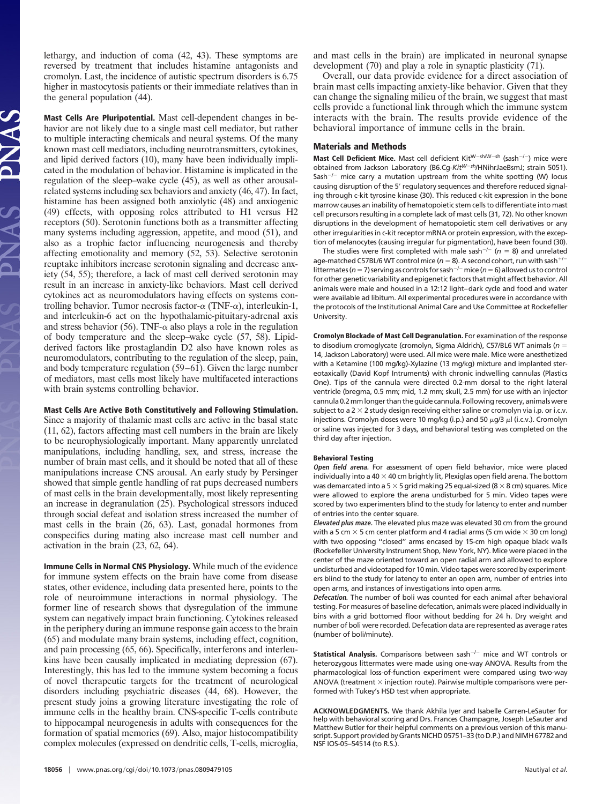lethargy, and induction of coma (42, 43). These symptoms are reversed by treatment that includes histamine antagonists and cromolyn. Last, the incidence of autistic spectrum disorders is 6.75 higher in mastocytosis patients or their immediate relatives than in the general population (44).

**Mast Cells Are Pluripotential.** Mast cell-dependent changes in behavior are not likely due to a single mast cell mediator, but rather to multiple interacting chemicals and neural systems. Of the many known mast cell mediators, including neurotransmitters, cytokines, and lipid derived factors (10), many have been individually implicated in the modulation of behavior. Histamine is implicated in the regulation of the sleep–wake cycle (45), as well as other arousalrelated systems including sex behaviors and anxiety (46, 47). In fact, histamine has been assigned both anxiolytic (48) and anxiogenic (49) effects, with opposing roles attributed to H1 versus H2 receptors (50). Serotonin functions both as a transmitter affecting many systems including aggression, appetite, and mood (51), and also as a trophic factor influencing neurogenesis and thereby affecting emotionality and memory (52, 53). Selective serotonin reuptake inhibitors increase serotonin signaling and decrease anxiety (54, 55); therefore, a lack of mast cell derived serotonin may result in an increase in anxiety-like behaviors. Mast cell derived cytokines act as neuromodulators having effects on systems controlling behavior. Tumor necrosis factor- $\alpha$  (TNF- $\alpha$ ), interleukin-1, and interleukin-6 act on the hypothalamic-pituitary-adrenal axis and stress behavior (56). TNF- $\alpha$  also plays a role in the regulation of body temperature and the sleep–wake cycle (57, 58). Lipidderived factors like prostaglandin D2 also have known roles as neuromodulators, contributing to the regulation of the sleep, pain, and body temperature regulation (59–61). Given the large number of mediators, mast cells most likely have multifaceted interactions with brain systems controlling behavior.

#### **Mast Cells Are Active Both Constitutively and Following Stimulation.**

Since a majority of thalamic mast cells are active in the basal state (11, 62), factors affecting mast cell numbers in the brain are likely to be neurophysiologically important. Many apparently unrelated manipulations, including handling, sex, and stress, increase the number of brain mast cells, and it should be noted that all of these manipulations increase CNS arousal. An early study by Persinger showed that simple gentle handling of rat pups decreased numbers of mast cells in the brain developmentally, most likely representing an increase in degranulation (25). Psychological stressors induced through social defeat and isolation stress increased the number of mast cells in the brain (26, 63). Last, gonadal hormones from conspecifics during mating also increase mast cell number and activation in the brain (23, 62, 64).

**Immune Cells in Normal CNS Physiology.** While much of the evidence for immune system effects on the brain have come from disease states, other evidence, including data presented here, points to the role of neuroimmune interactions in normal physiology. The former line of research shows that dysregulation of the immune system can negatively impact brain functioning. Cytokines released in the periphery during an immune response gain access to the brain (65) and modulate many brain systems, including effect, cognition, and pain processing (65, 66). Specifically, interferons and interleukins have been causally implicated in mediating depression (67). Interestingly, this has led to the immune system becoming a focus of novel therapeutic targets for the treatment of neurological disorders including psychiatric diseases (44, 68). However, the present study joins a growing literature investigating the role of immune cells in the healthy brain. CNS-specific T-cells contribute to hippocampal neurogenesis in adults with consequences for the formation of spatial memories (69). Also, major histocompatibility complex molecules (expressed on dendritic cells, T-cells, microglia, and mast cells in the brain) are implicated in neuronal synapse development (70) and play a role in synaptic plasticity (71).

Overall, our data provide evidence for a direct association of brain mast cells impacting anxiety-like behavior. Given that they can change the signaling milieu of the brain, we suggest that mast cells provide a functional link through which the immune system interacts with the brain. The results provide evidence of the behavioral importance of immune cells in the brain.

#### **Materials and Methods**

**Mast Cell Deficient Mice.** Mast cell deficient Kit<sup>W-sh/W-sh (sash<sup>-/-</sup>) mice were</sup> obtained from Jackson Laboratory (B6.Cg-*KitWsh*/HNihrJaeBsmJ; strain 5051). Sash<sup>-/-</sup> mice carry a mutation upstream from the white spotting (W) locus causing disruption of the 5' regulatory sequences and therefore reduced signaling through c-kit tyrosine kinase (30). This reduced c-kit expression in the bone marrow causes an inability of hematopoietic stem cells to differentiate into mast cell precursors resulting in a complete lack of mast cells (31, 72). No other known disruptions in the development of hematopoietic stem cell derivatives or any other irregularities in c-kit receptor mRNA or protein expression, with the exception of melanocytes (causing irregular fur pigmentation), have been found (30).

The studies were first completed with male sash<sup>-/-</sup> ( $n = 8$ ) and unrelated age-matched C57BL/6 WT control mice ( $n = 8$ ). A second cohort, run with sash<sup>+/-</sup> littermates ( $n=7$ ) serving as controls for sash<sup>-/-</sup> mice ( $n=6$ ) allowed us to control for other genetic variability and epigenetic factors thatmight affect behavior. All animals were male and housed in a 12:12 light–dark cycle and food and water were available ad libitum. All experimental procedures were in accordance with the protocols of the Institutional Animal Care and Use Committee at Rockefeller University.

**Cromolyn Blockade of Mast Cell Degranulation.** For examination of the response to disodium cromoglycate (cromolyn, Sigma Aldrich), C57/BL6 WT animals (*n* 14, Jackson Laboratory) were used. All mice were male. Mice were anesthetized with a Ketamine (100 mg/kg)-Xylazine (13 mg/kg) mixture and implanted stereotaxically (David Kopf Intruments) with chronic indwelling cannulas (Plastics One). Tips of the cannula were directed 0.2-mm dorsal to the right lateral ventricle (bregma, 0.5 mm; mid, 1.2 mm; skull, 2.5 mm) for use with an injector cannula 0.2mmlonger than the guide cannula. Following recovery, animalswere subject to a  $2 \times 2$  study design receiving either saline or cromolyn via i.p. or i.c.v. injections. Cromolyn doses were 10 mg/kg (i.p.) and 50  $\mu$ g/3  $\mu$ l (i.c.v.). Cromolyn or saline was injected for 3 days, and behavioral testing was completed on the third day after injection.

#### **Behavioral Testing**

**Open field arena.** For assessment of open field behavior, mice were placed individually into a 40  $\times$  40 cm brightly lit, Plexiglas open field arena. The bottom was demarcated into a 5  $\times$  5 grid making 25 equal-sized (8  $\times$  8 cm) squares. Mice were allowed to explore the arena undisturbed for 5 min. Video tapes were scored by two experimenters blind to the study for latency to enter and number of entries into the center square.

**Elevated plus maze.** The elevated plus maze was elevated 30 cm from the ground with a 5 cm  $\times$  5 cm center platform and 4 radial arms (5 cm wide  $\times$  30 cm long) with two opposing ''closed'' arms encased by 15-cm high opaque black walls (Rockefeller University Instrument Shop, New York, NY). Mice were placed in the center of the maze oriented toward an open radial arm and allowed to explore undisturbed and videotaped for 10 min. Video tapes were scored by experimenters blind to the study for latency to enter an open arm, number of entries into open arms, and instances of investigations into open arms.

**Defecation.** The number of boli was counted for each animal after behavioral testing. For measures of baseline defecation, animals were placed individually in bins with a grid bottomed floor without bedding for 24 h. Dry weight and number of boli were recorded. Defecation data are represented as average rates (number of boli/minute).

**Statistical Analysis.** Comparisons between sash<sup>-/-</sup> mice and WT controls or heterozygous littermates were made using one-way ANOVA. Results from the pharmacological loss-of-function experiment were compared using two-way ANOVA (treatment  $\times$  injection route). Pairwise multiple comparisons were performed with Tukey's HSD test when appropriate.

**ACKNOWLEDGMENTS.** We thank Akhila Iyer and Isabelle Carren-LeSauter for help with behavioral scoring and Drs. Frances Champagne, Joseph LeSauter and Matthew Butler for their helpful comments on a previous version of this manuscript. Support provided by Grants NICHD 05751–33 (to D.P.) and NIMH 67782 and NSF IOS-05–54514 (to R.S.).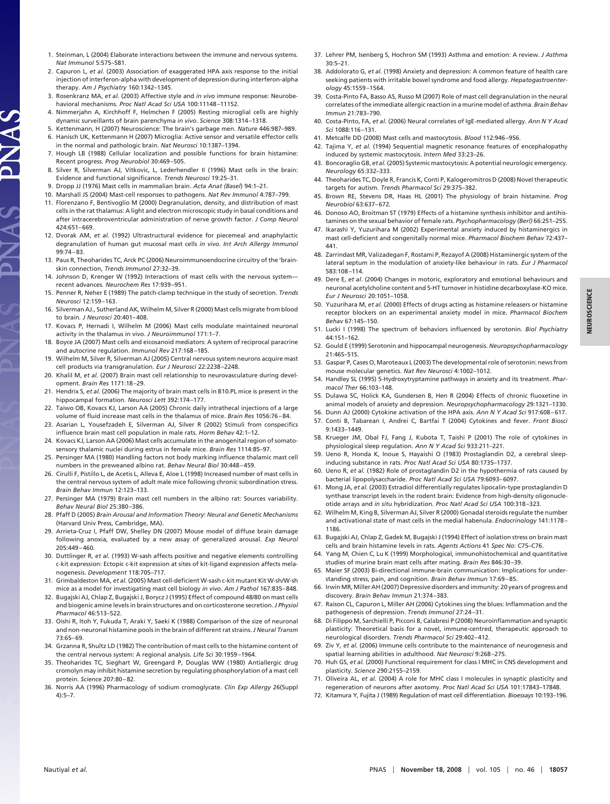- 1. Steinman, L (2004) Elaborate interactions between the immune and nervous systems*. Nat Immunol* 5:575–581.
- 2. Capuron L, *et al.* (2003) Association of exaggerated HPA axis response to the initial injection of interferon-alpha with development of depression during interferon-alpha therapy. *Am J Psychiatry* 160:1342–1345.
- 3. Rosenkranz MA, *et al.* (2003) Affective style and *in vivo* immune response: Neurobehavioral mechanisms. *Proc Natl Acad Sci USA* 100:11148 –11152.
- 4. Nimmerjahn A, Kirchhoff F, Helmchen F (2005) Resting microglial cells are highly dynamic surveillants of brain parenchyma *in vivo*. *Science* 308:1314 –1318.
- 5. Kettenmann, H (2007) Neuroscience: The brain's garbage men. *Nature* 446:987–989. 6. Hanisch UK, Kettenmann H (2007) Microglia: Active sensor and versatile effector cells
- in the normal and pathologic brain. *Nat Neurosci* 10:1387–1394. 7. Hough LB (1988) Cellular localization and possible functions for brain histamine:
- Recent progress. *Prog Neurobiol* 30:469 –505.
- 8. Silver R, Silverman AJ, Vitkovic, L, Lederhendler II (1996) Mast cells in the brain: Evidence and functional significance. *Trends Neurosci* 19:25–31.
- 9. Dropp JJ (1976) Mast cells in mammalian brain. *Acta Anat (Basel*) 94:1–21.

JAS

- 10. Marshall JS (2004) Mast-cell responses to pathogens. *Nat Rev Immunol* 4:787–799.
- 11. Florenzano F, Bentivoglio M (2000) Degranulation, density, and distribution of mast cells in the rat thalamus: A light and electron microscopic study in basal conditions and after intracerebroventricular administration of nerve growth factor. *J Comp Neurol* 424:651– 669.
- 12. Dvorak AM, *et al.* (1992) Ultrastructural evidence for piecemeal and anaphylactic degranulation of human gut mucosal mast cells *in vivo*. *Int Arch Allergy Immunol* 99:74 – 83.
- 13. Paus R, Theoharides TC, Arck PC (2006) Neuroimmunoendocrine circuitry of the 'brainskin connection, *Trends Immunol* 27:32–39.
- 14. Johnson D, Krenger W (1992) Interactions of mast cells with the nervous system recent advances. *Neurochem Res* 17:939 –951.
- 15. Penner R, Neher E (1989) The patch-clamp technique in the study of secretion. *Trends Neurosci* 12:159 –163.
- 16. Silverman AJ., Sutherland AK, Wilhelm M, Silver R (2000) Mast cells migrate from blood to brain*. J Neurosci* 20:401– 408.
- 17. Kovacs P, Hernadi I, Wilhelm M (2006) Mast cells modulate maintained neuronal activity in the thalamus in vivo. *J Neuroimmunol* 171:1–7.
- 18. Boyce JA (2007) Mast cells and eicosanoid mediators: A system of reciprocal paracrine and autocrine regulation. *Immunol Rev* 217:168 –185.
- 19. Wilhelm M, Silver R, Silverman AJ (2005) Central nervous system neurons acquire mast cell products via transgranulation. *Eur J Neurosci* 22:2238 –2248.
- 20. Khalil M, *et al.* (2007) Brain mast cell relationship to neurovasculature during development. *Brain Res* 1171:18 –29.
- 21. Hendrix S, *et al.* (2006) The majority of brain mast cells in B10.PL mice is present in the hippocampal formation. *Neurosci Lett* 392:174 –177.
- 22. Taiwo OB, Kovacs KJ, Larson AA (2005) Chronic daily intrathecal injections of a large volume of fluid increase mast cells in the thalamus of mice. *Brain Res* 1056:76 – 84.
- 23. Asarian L, Yousefzadeh E, Silverman AJ, Silver R (2002) Stimuli from conspecifics influence brain mast cell population in male rats. *Horm Behav* 42:1–12.
- 24. Kovacs KJ, Larson AA (2006) Mast cells accumulate in the anogenital region of somatosensory thalamic nuclei during estrus in female mice. *Brain Res* 1114:85–97.
- 25. Persinger MA (1980) Handling factors not body marking influence thalamic mast cell numbers in the preweaned albino rat. *Behav Neural Biol* 30:448 – 459.
- 26. Cirulli F, Pistillo L, de Acetis L, Alleva E, Aloe L (1998) Increased number of mast cells in the central nervous system of adult male mice following chronic subordination stress. *Brain Behav Immun* 12:123–133.
- 27. Persinger MA (1979) Brain mast cell numbers in the albino rat: Sources variability. *Behav Neural Biol* 25:380 –386.
- 28. Pfaff D (2005) *Brain Arousal and Information Theory*: *Neural and Genetic Mechanisms* (Harvard Univ Press, Cambridge, MA).
- 29. Arrieta-Cruz I, Pfaff DW, Shelley DN (2007) Mouse model of diffuse brain damage following anoxia, evaluated by a new assay of generalized arousal. *Exp Neurol* 205:449 – 460.
- 30. Duttlinger R, *et al.* (1993) W-sash affects positive and negative elements controlling c-kit expression: Ectopic c-kit expression at sites of kit-ligand expression affects melanogenesis. *Development* 118:705–717.
- 31. Grimbaldeston MA, *et al.* (2005) Mast cell-deficient W-sash c-kit mutant Kit W-sh/W-sh mice as a model for investigating mast cell biology *in vivo*. *Am J Pathol* 167:835– 848.
- 32. Bugajski AJ, Chlap Z, Bugajski J, Borycz J (1995) Effect of compound 48/80 on mast cells and biogenic amine levels in brain structures and on corticosterone secretion. *J Physiol Pharmacol* 46:513–522.
- 33. Oishi R, Itoh Y, Fukuda T, Araki Y, Saeki K (1988) Comparison of the size of neuronal and non-neuronal histamine pools in the brain of different rat strains.*J Neural Transm* 73:65– 69.
- 34. Grzanna R, Shultz LD (1982) The contribution of mast cells to the histamine content of the central nervous system: A regional analysis. *Life Sci* 30:1959 –1964.
- 35. Theoharides TC, Sieghart W, Greengard P, Douglas WW (1980) Antiallergic drug cromolyn may inhibit histamine secretion by regulating phosphorylation of a mast cell protein. *Science* 207:80 – 82.
- 36. Norris AA (1996) Pharmacology of sodium cromoglycate. *Clin Exp Allergy* 26(Suppl 4):5–7.
- 37. Lehrer PM, Isenberg S, Hochron SM (1993) Asthma and emotion: A review. *J Asthma* 30:5–21.
- 38. Addolorato G, *et al.* (1998) Anxiety and depression: A common feature of health care seeking patients with irritable bowel syndrome and food allergy. *Hepatogastroenterology* 45:1559 –1564.
- 39. Costa-Pinto FA, Basso AS, Russo M (2007) Role of mast cell degranulation in the neural correlates of the immediate allergic reaction in a murine model of asthma. *Brain Behav Immun* 21:783–790.
- 40. Costa-Pinto, FA, *et al.* (2006) Neural correlates of IgE-mediated allergy. *Ann N Y Acad Sci* 1088:116 –131.
- 41. Metcalfe DD (2008) Mast cells and mastocytosis. *Blood* 112:946 –956.
- 42. Tajima Y, *et al.* (1994) Sequential magnetic resonance features of encephalopathy induced by systemic mastocytosis. *Intern Med* 33:23–26.
- 43. Boncoraglio GB, *et al.*(2005) Systemic mastocytosis: A potential neurologic emergency. *Neurology* 65:332–333.
- 44. Theoharides TC, Doyle R, Francis K, Conti P, Kalogeromitros D (2008) Novel therapeutic targets for autism. *Trends Pharmacol Sci* 29:375–382.
- 45. Brown RE, Stevens DR, Haas HL (2001) The physiology of brain histamine. *Prog Neurobiol* 63:637– 672.
- 46. Donoso AO, Broitman ST (1979) Effects of a histamine synthesis inhibitor and antihistamines on the sexual behavior of female rats. *Psychopharmacology (Berl)* 66:251–255.
- 47. Ikarashi Y, Yuzurihara M (2002) Experimental anxiety induced by histaminergics in mast cell-deficient and congenitally normal mice. *Pharmacol Biochem Behav* 72:437– 441.
- 48. Zarrindast MR, Valizadegan F, Rostami P, Rezayof A (2008) Histaminergic system of the lateral septum in the modulation of anxiety-like behaviour in rats. *Eur J Pharmacol* 583:108 –114.
- 49. Dere E, *et al.* (2004) Changes in motoric, exploratory and emotional behaviours and neuronal acetylcholine content and 5-HT turnover in histidine decarboxylase-KO mice. *Eur J Neurosci* 20:1051–1058.
- 50. Yuzurihara M, *et al.* (2000) Effects of drugs acting as histamine releasers or histamine receptor blockers on an experimental anxiety model in mice. *Pharmacol Biochem Behav* 67:145–150.
- 51. Lucki I (1998) The spectrum of behaviors influenced by serotonin. *Biol Psychiatry* 44:151–162.
- 52. Gould E (1999) Serotonin and hippocampal neurogenesis. *Neuropsychopharmacology* 21:46S–51S.
- 53. Gaspar P, Cases O, Maroteaux L (2003) The developmental role of serotonin: news from mouse molecular genetics. *Nat Rev Neurosci* 4:1002–1012.
- 54. Handley SL (1995) 5-Hydroxytryptamine pathways in anxiety and its treatment. *Pharmacol Ther* 66:103–148.
- 55. Dulawa SC, Holick KA, Gundersen B, Hen R (2004) Effects of chronic fluoxetine in animal models of anxiety and depression. *Neuropsychopharmacology* 29:1321–1330.
- 56. Dunn AJ (2000) Cytokine activation of the HPA axis. *Ann N Y Acad Sci* 917:608 617. 57. Conti B, Tabarean I, Andrei C, Bartfai T (2004) Cytokines and fever. *Front Biosci* 9:1433–1449.
- 58. Krueger JM, Obal FJ, Fang J, Kubota T, Taishi P (2001) The role of cytokines in physiological sleep regulation. *Ann N Y Acad Sci* 933:211–221.
- 59. Ueno R, Honda K, Inoue S, Hayaishi O (1983) Prostaglandin D2, a cerebral sleepinducing substance in rats. *Proc Natl Acad Sci USA* 80:1735–1737.
- 60. Ueno R, *et al.* (1982) Role of prostaglandin D2 in the hypothermia of rats caused by bacterial lipopolysaccharide. *Proc Natl Acad Sci USA* 79:6093– 6097.
- 61. Mong JA, *et al.* (2003) Estradiol differentially regulates lipocalin-type prostaglandin D synthase transcript levels in the rodent brain: Evidence from high-density oligonucleotide arrays and *in situ* hybridization. *Proc Natl Acad Sci USA* 100:318 –323.
- 62. Wilhelm M, King B, Silverman AJ, Silver R (2000) Gonadal steroids regulate the number and activational state of mast cells in the medial habenula. *Endocrinology* 141:1178 – 1186.
- 63. Bugajski AJ, Chlap Z, Gadek M, Bugajski J (1994) Effect of isolation stress on brain mast cells and brain histamine levels in rats. *Agents Actions* 41 *Spec No*: C75–C76.
- 64. Yang M, Chien C, Lu K (1999) Morphological, immunohistochemical and quantitative studies of murine brain mast cells after mating. *Brain Res* 846:30 –39.
- 65. Maier SF (2003) Bi-directional immune-brain communication: Implications for understanding stress, pain, and cognition. *Brain Behav Immun* 17:69 – 85.
- 66. Irwin MR, Miller AH (2007) Depressive disorders and immunity: 20 years of progress and discovery. *Brain Behav Immun* 21:374 –383.
- 67. Raison CL, Capuron L, Miller AH (2006) Cytokines sing the blues: Inflammation and the pathogenesis of depression. *Trends Immunol* 27:24 –31.
- 68. Di Filippo M, Sarchielli P, Picconi B, Calabresi P (2008) Neuroinflammation and synaptic plasticity: Theoretical basis for a novel, immune-centred, therapeutic approach to neurological disorders. *Trends Pharmacol Sci* 29:402– 412.
- 69. Ziv Y, *et al.* (2006) Immune cells contribute to the maintenance of neurogenesis and spatial learning abilities in adulthood. *Nat Neurosci* 9:268 –275.
- 70. Huh GS, *et al.* (2000) Functional requirement for class I MHC in CNS development and plasticity. *Science* 290:2155–2159.
- 71. Oliveira AL, *et al.* (2004) A role for MHC class I molecules in synaptic plasticity and regeneration of neurons after axotomy. *Proc Natl Acad Sci USA* 101:17843–17848.
- 72. Kitamura Y, Fujita J (1989) Regulation of mast cell differentiation. *Bioessays* 10:193–196.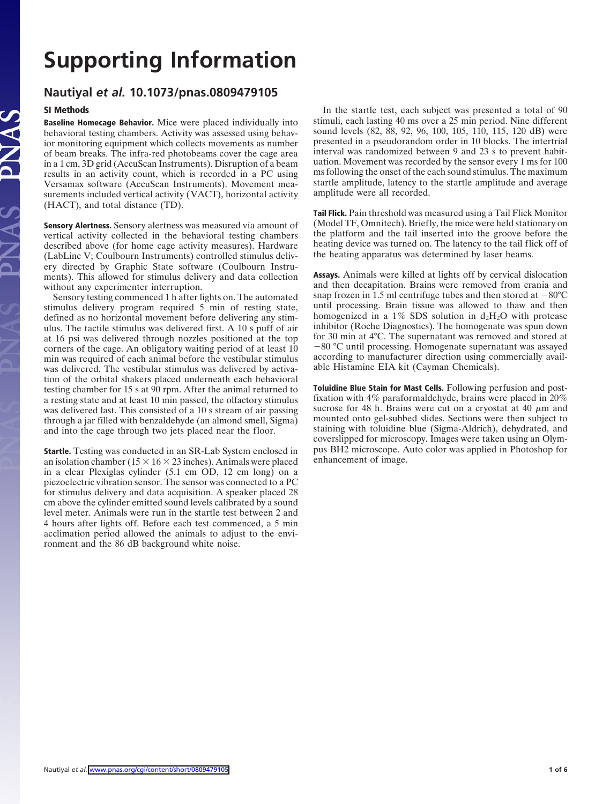# **Supporting Information**

### **Nautiyal** *et al.* **10.1073/pnas.0809479105**

### **SI Methods**

IAS.

 $\leq$ 

**Baseline Homecage Behavior.** Mice were placed individually into behavioral testing chambers. Activity was assessed using behavior monitoring equipment which collects movements as number of beam breaks. The infra-red photobeams cover the cage area in a 1 cm, 3D grid (AccuScan Instruments). Disruption of a beam results in an activity count, which is recorded in a PC using Versamax software (AccuScan Instruments). Movement measurements included vertical activity (VACT), horizontal activity (HACT), and total distance (TD).

**Sensory Alertness.** Sensory alertness was measured via amount of vertical activity collected in the behavioral testing chambers described above (for home cage activity measures). Hardware (LabLinc V; Coulbourn Instruments) controlled stimulus delivery directed by Graphic State software (Coulbourn Instruments). This allowed for stimulus delivery and data collection without any experimenter interruption.

Sensory testing commenced 1 h after lights on. The automated stimulus delivery program required 5 min of resting state, defined as no horizontal movement before delivering any stimulus. The tactile stimulus was delivered first. A 10 s puff of air at 16 psi was delivered through nozzles positioned at the top corners of the cage. An obligatory waiting period of at least 10 min was required of each animal before the vestibular stimulus was delivered. The vestibular stimulus was delivered by activation of the orbital shakers placed underneath each behavioral testing chamber for 15 s at 90 rpm. After the animal returned to a resting state and at least 10 min passed, the olfactory stimulus was delivered last. This consisted of a 10 s stream of air passing through a jar filled with benzaldehyde (an almond smell, Sigma) and into the cage through two jets placed near the floor.

**Startle.** Testing was conducted in an SR-Lab System enclosed in an isolation chamber ( $15 \times 16 \times 23$  inches). Animals were placed in a clear Plexiglas cylinder (5.1 cm OD, 12 cm long) on a piezoelectric vibration sensor. The sensor was connected to a PC for stimulus delivery and data acquisition. A speaker placed 28 cm above the cylinder emitted sound levels calibrated by a sound level meter. Animals were run in the startle test between 2 and 4 hours after lights off. Before each test commenced, a 5 min acclimation period allowed the animals to adjust to the environment and the 86 dB background white noise.

In the startle test, each subject was presented a total of 90 stimuli, each lasting 40 ms over a 25 min period. Nine different sound levels (82, 88, 92, 96, 100, 105, 110, 115, 120 dB) were presented in a pseudorandom order in 10 blocks. The intertrial interval was randomized between 9 and 23 s to prevent habituation. Movement was recorded by the sensor every 1 ms for 100 ms following the onset of the each sound stimulus. The maximum startle amplitude, latency to the startle amplitude and average amplitude were all recorded.

**Tail Flick.** Pain threshold was measured using a Tail Flick Monitor (Model TF, Omnitech). Briefly, the mice were held stationary on the platform and the tail inserted into the groove before the heating device was turned on. The latency to the tail flick off of the heating apparatus was determined by laser beams.

**Assays.** Animals were killed at lights off by cervical dislocation and then decapitation. Brains were removed from crania and snap frozen in 1.5 ml centrifuge tubes and then stored at  $-80^{\circ}$ C until processing. Brain tissue was allowed to thaw and then homogenized in a 1% SDS solution in  $d_2H_2O$  with protease inhibitor (Roche Diagnostics). The homogenate was spun down for 30 min at 4°C. The supernatant was removed and stored at -80 °C until processing. Homogenate supernatant was assayed according to manufacturer direction using commercially available Histamine EIA kit (Cayman Chemicals).

**Toluidine Blue Stain for Mast Cells.** Following perfusion and postfixation with 4% paraformaldehyde, brains were placed in 20% sucrose for 48 h. Brains were cut on a cryostat at 40  $\mu$ m and mounted onto gel-subbed slides. Sections were then subject to staining with toluidine blue (Sigma-Aldrich), dehydrated, and coverslipped for microscopy. Images were taken using an Olympus BH2 microscope. Auto color was applied in Photoshop for enhancement of image.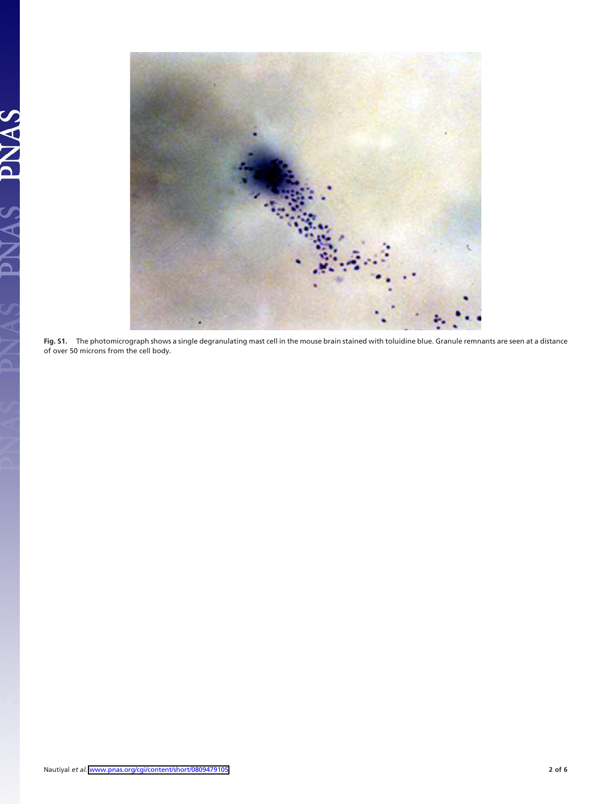

**Fig. S1.** The photomicrograph shows a single degranulating mast cell in the mouse brain stained with toluidine blue. Granule remnants are seen at a distance of over 50 microns from the cell body.

AS PNAS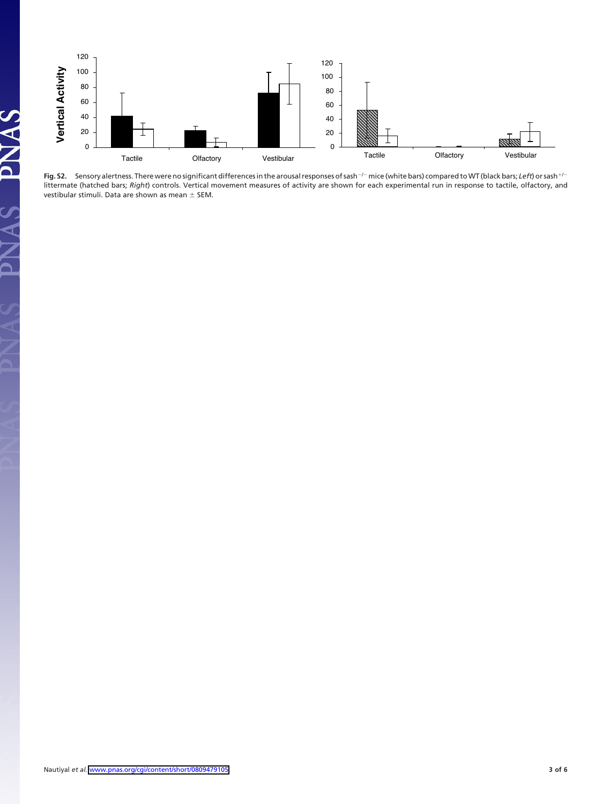



PNAS

 $\mathbf{S}$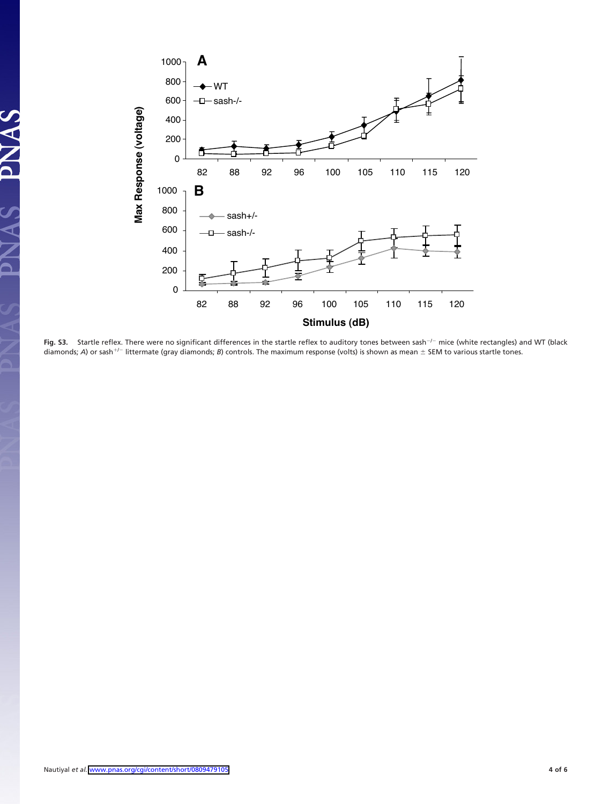

Fig. S3. Startle reflex. There were no significant differences in the startle reflex to auditory tones between sash<sup>-/-</sup> mice (white rectangles) and WT (black diamonds; A) or sash<sup>+/-</sup> littermate (gray diamonds; B) controls. The maximum response (volts) is shown as mean ± SEM to various startle tones.

JAS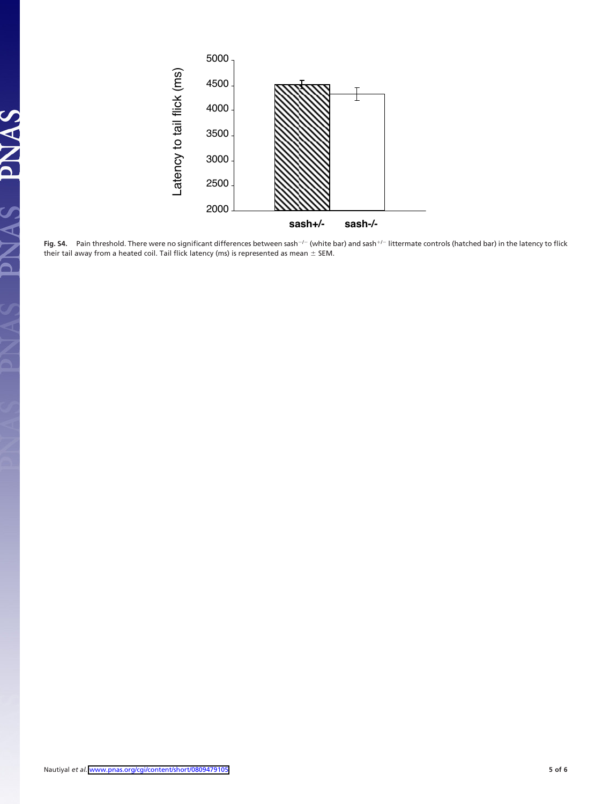

Fig. S4. Pain threshold. There were no significant differences between sash<sup>-/-</sup> (white bar) and sash<sup>+/-</sup> littermate controls (hatched bar) in the latency to flick their tail away from a heated coil. Tail flick latency (ms) is represented as mean  $\pm$  SEM.

IAS PNAS